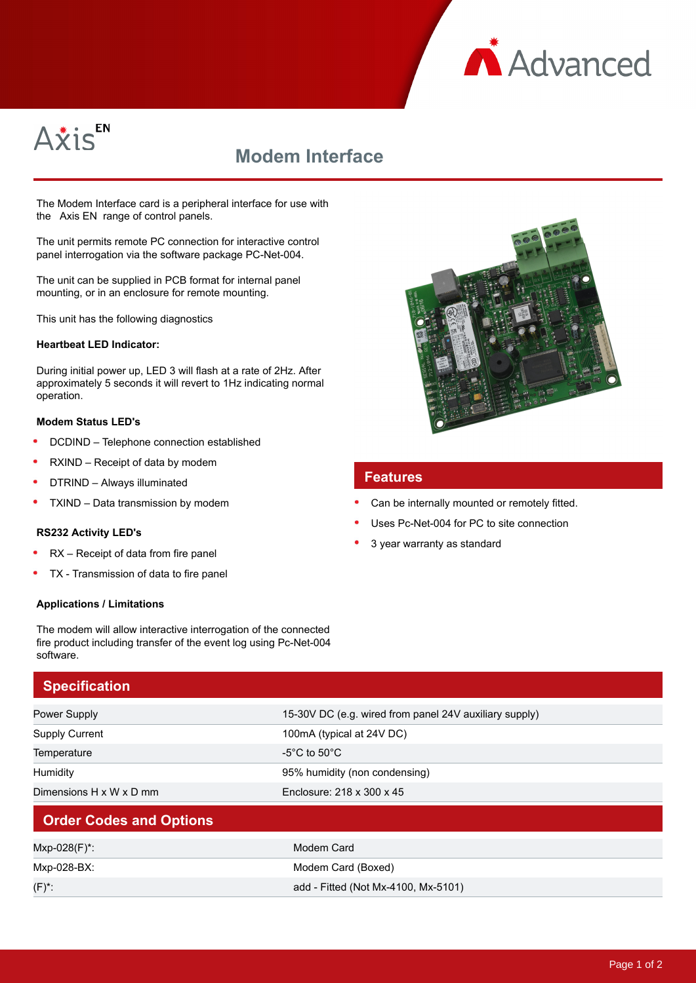



# **Modem Interface**

The Modem Interface card is a peripheral interface for use with the Axis EN range of control panels.

The unit permits remote PC connection for interactive control panel interrogation via the software package PC-Net-004.

The unit can be supplied in PCB format for internal panel mounting, or in an enclosure for remote mounting.

This unit has the following diagnostics

#### **Heartbeat LED Indicator:**

During initial power up, LED 3 will flash at a rate of 2Hz. After approximately 5 seconds it will revert to 1Hz indicating normal operation.

#### **Modem Status LED's**

- $\bullet$ DCDIND – Telephone connection established
- RXIND Receipt of data by modem
- DTRIND Always illuminated
- TXIND Data transmission by modem

#### **RS232 Activity LED's**

- RX Receipt of data from fire panel
- TX Transmission of data to fire panel

#### **Applications / Limitations**



## **Specification**

| <b>Power Supply</b>            | 15-30V DC (e.g. wired from panel 24V auxiliary supply) |
|--------------------------------|--------------------------------------------------------|
| <b>Supply Current</b>          | 100mA (typical at 24V DC)                              |
| Temperature                    | -5 $\rm ^{\circ}C$ to 50 $\rm ^{\circ}C$               |
| Humidity                       | 95% humidity (non condensing)                          |
| Dimensions H x W x D mm        | Enclosure: 218 x 300 x 45                              |
| <b>Order Codes and Options</b> |                                                        |
| Mxp-028(F)*:                   | Modem Card                                             |
| Mxp-028-BX:                    | Modem Card (Boxed)                                     |
| $(F)^*$ :                      | add - Fitted (Not Mx-4100, Mx-5101)                    |



### **Features**

- Can be internally mounted or remotely fitted.
- Uses Pc-Net-004 for PC to site connection
- 3 year warranty as standard